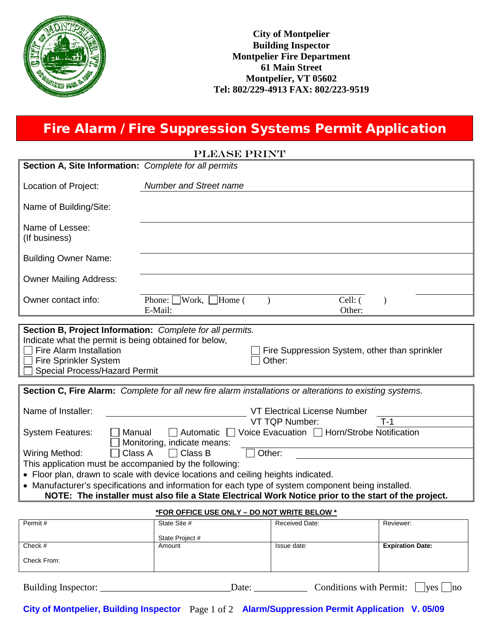

## Fire Alarm / Fire Suppression Systems Permit Application

| <b>PLEASE PRINT</b>                                                                                                                                                                                            |                                                                                                          |  |  |  |
|----------------------------------------------------------------------------------------------------------------------------------------------------------------------------------------------------------------|----------------------------------------------------------------------------------------------------------|--|--|--|
| Section A, Site Information: Complete for all permits                                                                                                                                                          |                                                                                                          |  |  |  |
| Location of Project:                                                                                                                                                                                           | <b>Number and Street name</b>                                                                            |  |  |  |
| Name of Building/Site:                                                                                                                                                                                         |                                                                                                          |  |  |  |
| Name of Lessee:<br>(If business)                                                                                                                                                                               |                                                                                                          |  |  |  |
| <b>Building Owner Name:</b>                                                                                                                                                                                    |                                                                                                          |  |  |  |
| <b>Owner Mailing Address:</b>                                                                                                                                                                                  |                                                                                                          |  |  |  |
| Owner contact info:                                                                                                                                                                                            | Cell: (<br>Home (<br>Work,<br>Phone:<br>E-Mail:<br>Other:                                                |  |  |  |
|                                                                                                                                                                                                                |                                                                                                          |  |  |  |
| Section B, Project Information: Complete for all permits.<br>Indicate what the permit is being obtained for below,<br>Fire Alarm Installation<br><b>Fire Sprinkler System</b><br>Special Process/Hazard Permit | Fire Suppression System, other than sprinkler<br>Other:                                                  |  |  |  |
|                                                                                                                                                                                                                | Section C, Fire Alarm: Complete for all new fire alarm installations or alterations to existing systems. |  |  |  |
| Name of Installer:                                                                                                                                                                                             | <b>VT Electrical License Number</b><br><b>VT TQP Number:</b><br>$T-1$                                    |  |  |  |
| <b>System Features:</b><br>Manual                                                                                                                                                                              | □ Automatic □ Voice Evacuation □ Horn/Strobe Notification<br>Monitoring, indicate means:                 |  |  |  |
| Class A<br><b>Wiring Method:</b>                                                                                                                                                                               | $\Box$ Class B<br>Other:                                                                                 |  |  |  |
| This application must be accompanied by the following:                                                                                                                                                         |                                                                                                          |  |  |  |
| • Floor plan, drawn to scale with device locations and ceiling heights indicated.                                                                                                                              |                                                                                                          |  |  |  |
| • Manufacturer's specifications and information for each type of system component being installed.<br>NOTE: The installer must also file a State Electrical Work Notice prior to the start of the project.     |                                                                                                          |  |  |  |
| *FOR OFFICE USE ONLY - DO NOT WRITE BELOW *                                                                                                                                                                    |                                                                                                          |  |  |  |

| Permit#     | State Site #    | Received Date: | Reviewer:               |
|-------------|-----------------|----------------|-------------------------|
|             | State Project # |                |                         |
| Check #     | Amount          | Issue date:    | <b>Expiration Date:</b> |
| Check From: |                 |                |                         |

| Building Inspector: | <sub>date</sub> | $\mathcal L$ onditions with Permit: |  | <i>ves</i> | no |  |
|---------------------|-----------------|-------------------------------------|--|------------|----|--|
|---------------------|-----------------|-------------------------------------|--|------------|----|--|

**City of Montpelier, Building Inspector** Page 1 of 2 **Alarm/Suppression Permit Application V. 05/09**